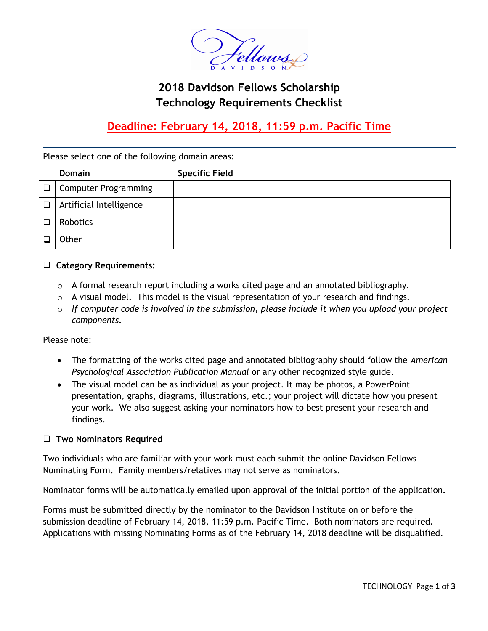

# **2018 Davidson Fellows Scholarship Technology Requirements Checklist**

# **Deadline: February 14, 2018, 11:59 p.m. Pacific Time**

Please select one of the following domain areas:

|        | <b>Domain</b>               | <b>Specific Field</b> |
|--------|-----------------------------|-----------------------|
| $\Box$ | <b>Computer Programming</b> |                       |
| $\Box$ | Artificial Intelligence     |                       |
|        | Robotics                    |                       |
|        | Other                       |                       |

### **Category Requirements:**

- $\circ$  A formal research report including a works cited page and an annotated bibliography.
- $\circ$  A visual model. This model is the visual representation of your research and findings.
- o *If computer code is involved in the submission, please include it when you upload your project components.*

Please note:

- The formatting of the works cited page and annotated bibliography should follow the *American Psychological Association Publication Manual* or any other recognized style guide.
- The visual model can be as individual as your project. It may be photos, a PowerPoint presentation, graphs, diagrams, illustrations, etc.; your project will dictate how you present your work. We also suggest asking your nominators how to best present your research and findings.

#### **Two Nominators Required**

Two individuals who are familiar with your work must each submit the online Davidson Fellows Nominating Form. Family members/relatives may not serve as nominators.

Nominator forms will be automatically emailed upon approval of the initial portion of the application.

Forms must be submitted directly by the nominator to the Davidson Institute on or before the submission deadline of February 14, 2018, 11:59 p.m. Pacific Time. Both nominators are required. Applications with missing Nominating Forms as of the February 14, 2018 deadline will be disqualified.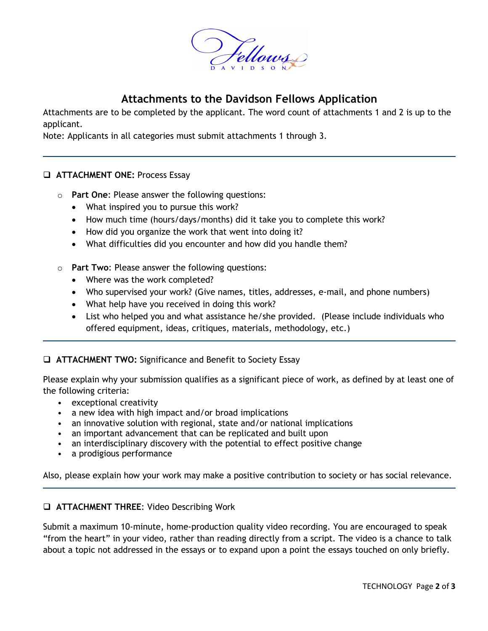

## **Attachments to the Davidson Fellows Application**

Attachments are to be completed by the applicant. The word count of attachments 1 and 2 is up to the applicant.

Note: Applicants in all categories must submit attachments 1 through 3.

### **ATTACHMENT ONE:** Process Essay

- o **Part One**: Please answer the following questions:
	- What inspired you to pursue this work?
	- How much time (hours/days/months) did it take you to complete this work?
	- How did you organize the work that went into doing it?
	- What difficulties did you encounter and how did you handle them?
- o **Part Two**: Please answer the following questions:
	- Where was the work completed?
	- Who supervised your work? (Give names, titles, addresses, e-mail, and phone numbers)
	- What help have you received in doing this work?
	- List who helped you and what assistance he/she provided. (Please include individuals who offered equipment, ideas, critiques, materials, methodology, etc.)

### **ATTACHMENT TWO:** Significance and Benefit to Society Essay

Please explain why your submission qualifies as a significant piece of work, as defined by at least one of the following criteria:

- exceptional creativity
- a new idea with high impact and/or broad implications
- an innovative solution with regional, state and/or national implications
- an important advancement that can be replicated and built upon
- an interdisciplinary discovery with the potential to effect positive change
- a prodigious performance

Also, please explain how your work may make a positive contribution to society or has social relevance.

#### **ATTACHMENT THREE**: Video Describing Work

Submit a maximum 10-minute, home-production quality video recording. You are encouraged to speak "from the heart" in your video, rather than reading directly from a script. The video is a chance to talk about a topic not addressed in the essays or to expand upon a point the essays touched on only briefly.